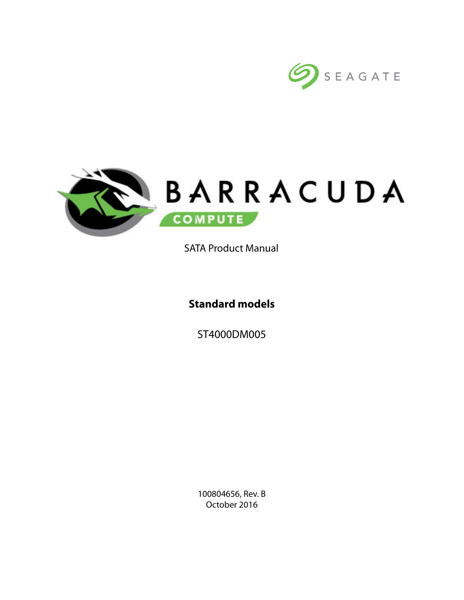



SATA Product Manual

**Standard models**

ST4000DM005

100804656, Rev. B October 2016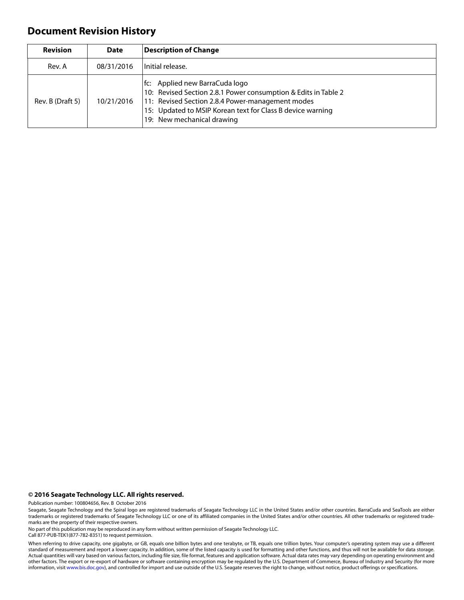## **Document Revision History**

| <b>Revision</b>  | <b>Date</b> | <b>Description of Change</b>                                                                                                                                                                                                                     |
|------------------|-------------|--------------------------------------------------------------------------------------------------------------------------------------------------------------------------------------------------------------------------------------------------|
| Rev. A           | 08/31/2016  | Initial release.                                                                                                                                                                                                                                 |
| Rev. B (Draft 5) | 10/21/2016  | fc: Applied new BarraCuda logo<br>10: Revised Section 2.8.1 Power consumption & Edits in Table 2<br>11: Revised Section 2.8.4 Power-management modes<br>15: Updated to MSIP Korean text for Class B device warning<br>19: New mechanical drawing |

**© 2016 Seagate Technology LLC. All rights reserved.**

Publication number: 100804656, Rev. B October 2016

Seagate, Seagate Technology and the Spiral logo are registered trademarks of Seagate Technology LLC in the United States and/or other countries. BarraCuda and SeaTools are either trademarks or registered trademarks of Seagate Technology LLC or one of its affiliated companies in the United States and/or other countries. All other trademarks or registered trademarks are the property of their respective owners.

No part of this publication may be reproduced in any form without written permission of Seagate Technology LLC. Call 877-PUB-TEK1(877-782-8351) to request permission.

When referring to drive capacity, one gigabyte, or GB, equals one billion bytes and one terabyte, or TB, equals one trillion bytes. Your computer's operating system may use a different standard of measurement and report a lower capacity. In addition, some of the listed capacity is used for formatting and other functions, and thus will not be available for data storage. Actual quantities will vary based on various factors, including file size, file format, features and application software. Actual data rates may vary depending on operating environment and other factors. The export or re-export of hardware or software containing encryption may be regulated by the U.S. Department of Commerce, Bureau of Industry and Security (for more information, visit [www.bis.doc.gov\)](HTTP://www.bis.doc.gov), and controlled for import and use outside of the U.S. Seagate reserves the right to change, without notice, product offerings or specifications.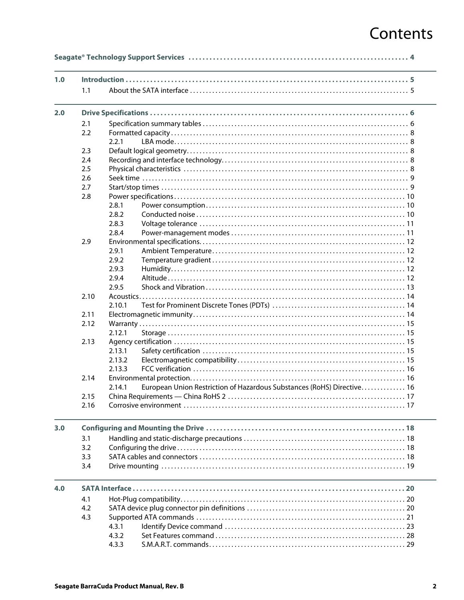# Contents

| 1.1  |        |                                                                        |  |
|------|--------|------------------------------------------------------------------------|--|
|      |        |                                                                        |  |
| 2.1  |        |                                                                        |  |
| 2.2  |        |                                                                        |  |
|      | 2.2.1  |                                                                        |  |
| 2.3  |        |                                                                        |  |
| 2.4  |        |                                                                        |  |
| 2.5  |        |                                                                        |  |
| 2.6  |        |                                                                        |  |
| 2.7  |        |                                                                        |  |
| 2.8  |        |                                                                        |  |
|      | 2.8.1  |                                                                        |  |
|      | 2.8.2  |                                                                        |  |
|      | 2.8.3  |                                                                        |  |
|      | 2.8.4  |                                                                        |  |
| 2.9  |        |                                                                        |  |
|      | 2.9.1  |                                                                        |  |
|      | 2.9.2  |                                                                        |  |
|      | 2.9.3  |                                                                        |  |
|      | 2.9.4  |                                                                        |  |
|      | 2.9.5  |                                                                        |  |
| 2.10 |        |                                                                        |  |
|      | 2.10.1 |                                                                        |  |
| 2.11 |        |                                                                        |  |
| 2.12 |        |                                                                        |  |
|      | 2.12.1 |                                                                        |  |
| 2.13 |        |                                                                        |  |
|      | 2.13.1 |                                                                        |  |
|      | 2.13.2 |                                                                        |  |
|      | 2.13.3 |                                                                        |  |
| 2.14 |        |                                                                        |  |
|      | 2.14.1 | European Union Restriction of Hazardous Substances (RoHS) Directive 16 |  |
| 2.15 |        |                                                                        |  |
| 2.16 |        |                                                                        |  |
|      |        |                                                                        |  |
|      |        |                                                                        |  |
| 3.1  |        |                                                                        |  |
| 3.2  |        |                                                                        |  |
| 3.3  |        |                                                                        |  |
| 3.4  |        |                                                                        |  |
|      |        |                                                                        |  |
| 4.1  |        |                                                                        |  |
| 4.2  |        |                                                                        |  |
| 4.3  |        |                                                                        |  |
|      | 4.3.1  |                                                                        |  |
|      | 4.3.2  |                                                                        |  |
|      |        |                                                                        |  |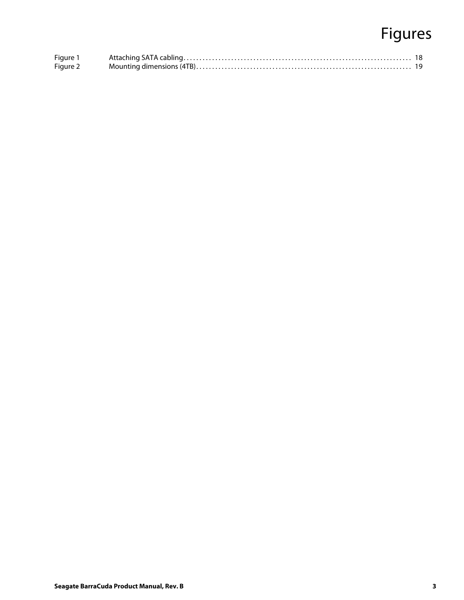# Figures

| Figure 1 |  |
|----------|--|
| Figure 2 |  |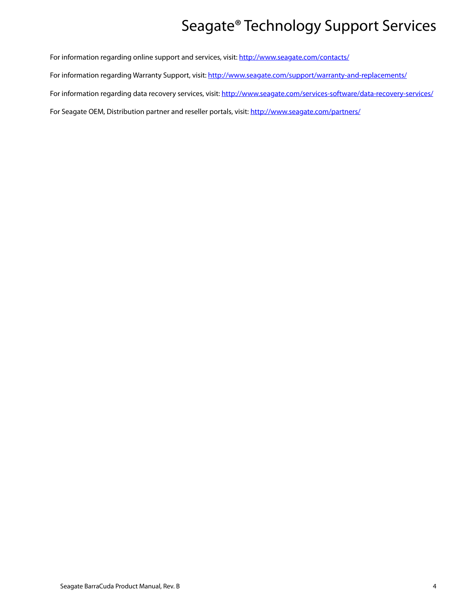# Seagate® Technology Support Services

<span id="page-4-0"></span>For information regarding online support and services, visit: [http://www.sea](http://www.seagate.com/contacts/)gate.com/contacts/

[For information regarding Warranty Support, visit: h](http://www.seagate.com/support/warranty-and-replacements/)ttp://www.seagate.com/support/warranty-and-replacements/

For information regarding data recovery services, visit: [http://www.sea](http://www.seagate.com/services-software/data-recovery-services/)gate.com/services-software/data-recovery-services/

[For Seagate OEM, Distribution partner and reseller portals, visit: h](http://www.seagate.com/partners/)ttp://www.seagate.com/partners/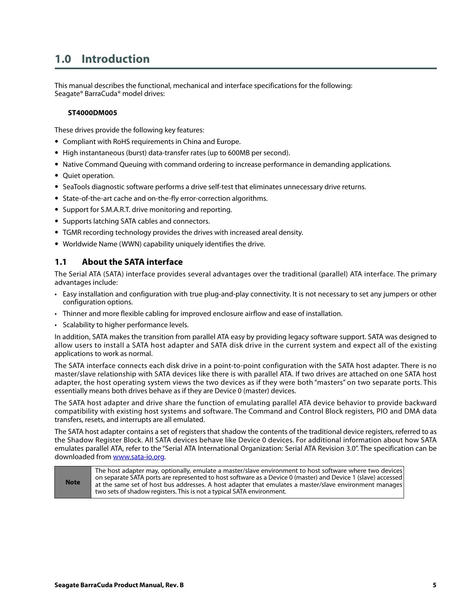## <span id="page-5-0"></span>**1.0 Introduction**

This manual describes the functional, mechanical and interface specifications for the following: Seagate® BarraCuda® model drives:

#### **ST4000DM005**

These drives provide the following key features:

- Compliant with RoHS requirements in China and Europe.
- High instantaneous (burst) data-transfer rates (up to 600MB per second).
- Native Command Queuing with command ordering to increase performance in demanding applications.
- Quiet operation.
- SeaTools diagnostic software performs a drive self-test that eliminates unnecessary drive returns.
- State-of-the-art cache and on-the-fly error-correction algorithms.
- Support for S.M.A.R.T. drive monitoring and reporting.
- Supports latching SATA cables and connectors.
- TGMR recording technology provides the drives with increased areal density.
- Worldwide Name (WWN) capability uniquely identifies the drive.

## <span id="page-5-1"></span>**1.1 About the SATA interface**

The Serial ATA (SATA) interface provides several advantages over the traditional (parallel) ATA interface. The primary advantages include:

- Easy installation and configuration with true plug-and-play connectivity. It is not necessary to set any jumpers or other configuration options.
- Thinner and more flexible cabling for improved enclosure airflow and ease of installation.
- Scalability to higher performance levels.

In addition, SATA makes the transition from parallel ATA easy by providing legacy software support. SATA was designed to allow users to install a SATA host adapter and SATA disk drive in the current system and expect all of the existing applications to work as normal.

The SATA interface connects each disk drive in a point-to-point configuration with the SATA host adapter. There is no master/slave relationship with SATA devices like there is with parallel ATA. If two drives are attached on one SATA host adapter, the host operating system views the two devices as if they were both "masters" on two separate ports. This essentially means both drives behave as if they are Device 0 (master) devices.

The SATA host adapter and drive share the function of emulating parallel ATA device behavior to provide backward compatibility with existing host systems and software. The Command and Control Block registers, PIO and DMA data transfers, resets, and interrupts are all emulated.

The SATA host adapter contains a set of registers that shadow the contents of the traditional device registers, referred to as the Shadow Register Block. All SATA devices behave like Device 0 devices. For additional information about how SATA emulates parallel ATA, refer to the "Serial ATA International Organization: Serial ATA Revision 3.0". The specification can be downloaded from [www.sata-io.org](htt6p://www.sata-io.org).

| <b>Note</b> | The host adapter may, optionally, emulate a master/slave environment to host software where two devices<br>on separate SATA ports are represented to host software as a Device 0 (master) and Device 1 (slave) accessed  <br>at the same set of host bus addresses. A host adapter that emulates a master/slave environment manages<br>two sets of shadow registers. This is not a typical SATA environment. |
|-------------|--------------------------------------------------------------------------------------------------------------------------------------------------------------------------------------------------------------------------------------------------------------------------------------------------------------------------------------------------------------------------------------------------------------|
|-------------|--------------------------------------------------------------------------------------------------------------------------------------------------------------------------------------------------------------------------------------------------------------------------------------------------------------------------------------------------------------------------------------------------------------|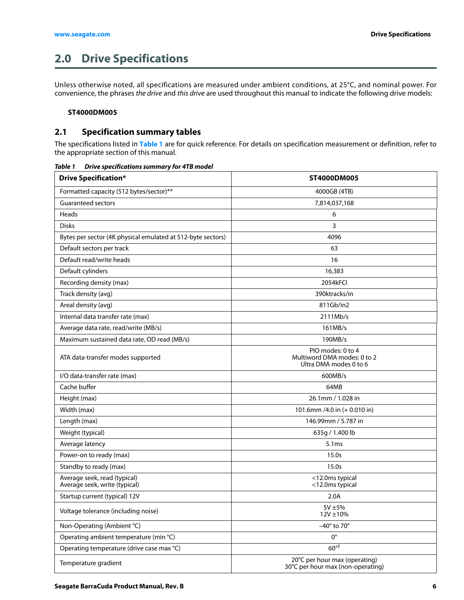## <span id="page-6-0"></span>**2.0 Drive Specifications**

Unless otherwise noted, all specifications are measured under ambient conditions, at 25°C, and nominal power. For convenience, the phrases the drive and this drive are used throughout this manual to indicate the following drive models:

#### **ST4000DM005**

## <span id="page-6-1"></span>**2.1 Specification summary tables**

The specifications listed in **Table 1** are for quick reference. For details on specification measurement or definition, refer to the appropriate section of this manual.

| <b>Drive Specification*</b>                                   | ST4000DM005                                                                |  |
|---------------------------------------------------------------|----------------------------------------------------------------------------|--|
| Formatted capacity (512 bytes/sector)**                       | 4000GB (4TB)                                                               |  |
| <b>Guaranteed sectors</b>                                     | 7,814,037,168                                                              |  |
| Heads                                                         | 6                                                                          |  |
| <b>Disks</b>                                                  | 3                                                                          |  |
| Bytes per sector (4K physical emulated at 512-byte sectors)   | 4096                                                                       |  |
| Default sectors per track                                     | 63                                                                         |  |
| Default read/write heads                                      | 16                                                                         |  |
| Default cylinders                                             | 16,383                                                                     |  |
| Recording density (max)                                       | 2054kFCI                                                                   |  |
| Track density (avg)                                           | 390ktracks/in                                                              |  |
| Areal density (avg)                                           | 811Gb/in2                                                                  |  |
| Internal data transfer rate (max)                             | 2111Mb/s                                                                   |  |
| Average data rate, read/write (MB/s)                          | 161MB/s                                                                    |  |
| Maximum sustained data rate, OD read (MB/s)                   | 190MB/s                                                                    |  |
| ATA data-transfer modes supported                             | PIO modes: 0 to 4<br>Multiword DMA modes: 0 to 2<br>Ultra DMA modes 0 to 6 |  |
| I/O data-transfer rate (max)                                  | 600MB/s                                                                    |  |
| Cache buffer                                                  | 64MB                                                                       |  |
| Height (max)                                                  | 26.1mm / 1.028 in                                                          |  |
| Width (max)                                                   | 101.6mm /4.0 in (+ 0.010 in)                                               |  |
| Length (max)<br>146.99mm / 5.787 in                           |                                                                            |  |
| Weight (typical)<br>635g / 1.400 lb                           |                                                                            |  |
| Average latency                                               | 5.1 <sub>ms</sub>                                                          |  |
| Power-on to ready (max)                                       | 15.0s                                                                      |  |
| Standby to ready (max)                                        | 15.0s                                                                      |  |
| Average seek, read (typical)<br>Average seek, write (typical) | <12.0ms typical<br><12.0ms typical                                         |  |
| Startup current (typical) 12V                                 | 2.0A                                                                       |  |
| Voltage tolerance (including noise)                           | $5V \pm 5%$<br>12V ±10%                                                    |  |
| Non-Operating (Ambient °C)                                    | $-40^\circ$ to 70 $^\circ$                                                 |  |
| Operating ambient temperature (min °C)                        | $0^{\circ}$                                                                |  |
| Operating temperature (drive case max °C)                     | $60^{\circ\dagger}$                                                        |  |
| Temperature gradient                                          | 20°C per hour max (operating)<br>30°C per hour max (non-operating)         |  |

*Table 1 Drive specifications summary for 4TB model*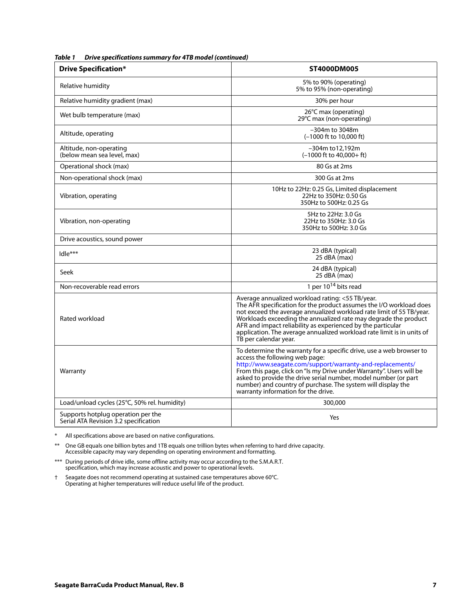| 21176 Specifications Summary TVI +1D model (C                               |                                                                                                                                                                                                                                                                                                                                                                                                                                      |  |  |  |
|-----------------------------------------------------------------------------|--------------------------------------------------------------------------------------------------------------------------------------------------------------------------------------------------------------------------------------------------------------------------------------------------------------------------------------------------------------------------------------------------------------------------------------|--|--|--|
| <b>Drive Specification*</b>                                                 | ST4000DM005                                                                                                                                                                                                                                                                                                                                                                                                                          |  |  |  |
| Relative humidity                                                           | 5% to 90% (operating)<br>5% to 95% (non-operating)                                                                                                                                                                                                                                                                                                                                                                                   |  |  |  |
| Relative humidity gradient (max)                                            | 30% per hour                                                                                                                                                                                                                                                                                                                                                                                                                         |  |  |  |
| Wet bulb temperature (max)                                                  | 26°C max (operating)<br>29°C max (non-operating)                                                                                                                                                                                                                                                                                                                                                                                     |  |  |  |
| Altitude, operating                                                         | $-304m$ to 3048m<br>$(-1000 \text{ ft to } 10,000 \text{ ft})$                                                                                                                                                                                                                                                                                                                                                                       |  |  |  |
| Altitude, non-operating<br>(below mean sea level, max)                      | $-304m$ to 12.192m<br>$(-1000$ ft to $40,000+$ ft)                                                                                                                                                                                                                                                                                                                                                                                   |  |  |  |
| Operational shock (max)                                                     | 80 Gs at 2ms                                                                                                                                                                                                                                                                                                                                                                                                                         |  |  |  |
| Non-operational shock (max)                                                 | 300 Gs at 2ms                                                                                                                                                                                                                                                                                                                                                                                                                        |  |  |  |
| Vibration, operating                                                        | 10Hz to 22Hz: 0.25 Gs, Limited displacement<br>22Hz to 350Hz: 0.50 Gs<br>350Hz to 500Hz: 0.25 Gs                                                                                                                                                                                                                                                                                                                                     |  |  |  |
| Vibration, non-operating                                                    | 5Hz to 22Hz: 3.0 Gs<br>22Hz to 350Hz: 3.0 Gs<br>350Hz to 500Hz: 3.0 Gs                                                                                                                                                                                                                                                                                                                                                               |  |  |  |
| Drive acoustics, sound power                                                |                                                                                                                                                                                                                                                                                                                                                                                                                                      |  |  |  |
| Idle***                                                                     | 23 dBA (typical)<br>25 dBA (max)                                                                                                                                                                                                                                                                                                                                                                                                     |  |  |  |
| Seek                                                                        | 24 dBA (typical)<br>25 dBA (max)                                                                                                                                                                                                                                                                                                                                                                                                     |  |  |  |
| Non-recoverable read errors                                                 | 1 per $10^{14}$ bits read                                                                                                                                                                                                                                                                                                                                                                                                            |  |  |  |
| Rated workload                                                              | Average annualized workload rating: <55 TB/year.<br>The AFR specification for the product assumes the I/O workload does<br>not exceed the average annualized workload rate limit of 55 TB/year.<br>Workloads exceeding the annualized rate may degrade the product<br>AFR and impact reliability as experienced by the particular<br>application. The average annualized workload rate limit is in units of<br>TB per calendar year. |  |  |  |
| Warranty                                                                    | To determine the warranty for a specific drive, use a web browser to<br>access the following web page:<br>http://www.seagate.com/support/warranty-and-replacements/<br>From this page, click on "Is my Drive under Warranty". Users will be<br>asked to provide the drive serial number, model number (or part<br>number) and country of purchase. The system will display the<br>warranty information for the drive.                |  |  |  |
| Load/unload cycles (25°C, 50% rel. humidity)                                | 300,000                                                                                                                                                                                                                                                                                                                                                                                                                              |  |  |  |
| Supports hotplug operation per the<br>Serial ATA Revision 3.2 specification | Yes                                                                                                                                                                                                                                                                                                                                                                                                                                  |  |  |  |

*Table 1 Drive specifications summary for 4TB model (continued)*

\* All specifications above are based on native configurations.

\*\* One GB equals one billion bytes and 1TB equals one trillion bytes when referring to hard drive capacity. Accessible capacity may vary depending on operating environment and formatting.

\*\*\* During periods of drive idle, some offline activity may occur according to the S.M.A.R.T. specification, which may increase acoustic and power to operational levels.

† Seagate does not recommend operating at sustained case temperatures above 60°C. Operating at higher temperatures will reduce useful life of the product.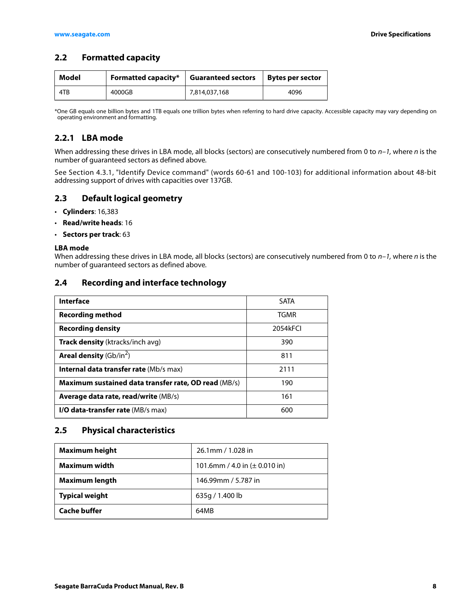## <span id="page-8-0"></span>**2.2 Formatted capacity**

| Model | <b>Formatted capacity*</b> | <b>Guaranteed sectors</b> | <b>Bytes per sector</b> |
|-------|----------------------------|---------------------------|-------------------------|
| 4TB   | 4000GB                     | 7,814,037,168             | 4096                    |

\*One GB equals one billion bytes and 1TB equals one trillion bytes when referring to hard drive capacity. Accessible capacity may vary depending on operating environment and formatting.

## <span id="page-8-1"></span>**2.2.1 LBA mode**

When addressing these drives in LBA mode, all blocks (sectors) are consecutively numbered from 0 to  $n-1$ , where n is the number of guaranteed sectors as defined above.

See [Section 4.3.1, "Identify Device command"](#page-23-0) (words 60-61 and 100-103) for additional information about 48-bit addressing support of drives with capacities over 137GB.

## <span id="page-8-2"></span>**2.3 Default logical geometry**

- **Cylinders**: 16,383
- **Read/write heads**: 16
- **Sectors per track**: 63

#### **LBA mode**

When addressing these drives in LBA mode, all blocks (sectors) are consecutively numbered from 0 to  $n-1$ , where n is the number of guaranteed sectors as defined above.

### <span id="page-8-3"></span>**2.4 Recording and interface technology**

| Interface                                            | <b>SATA</b> |
|------------------------------------------------------|-------------|
| <b>Recording method</b>                              | TGMR        |
| <b>Recording density</b>                             | 2054kFCI    |
| <b>Track density</b> (ktracks/inch avg)              | 390         |
| <b>Areal density</b> (Gb/in <sup>2</sup> )           | 811         |
| <b>Internal data transfer rate (Mb/s max)</b>        | 2111        |
| Maximum sustained data transfer rate, OD read (MB/s) | 190         |
| <b>Average data rate, read/write (MB/s)</b>          | 161         |
| <b>I/O data-transfer rate (MB/s max)</b>             | 600         |

### <span id="page-8-4"></span>**2.5 Physical characteristics**

| <b>Maximum height</b> | 26.1mm / 1.028 in                  |  |
|-----------------------|------------------------------------|--|
| Maximum width         | 101.6mm / 4.0 in ( $\pm$ 0.010 in) |  |
| Maximum length        | 146.99mm / 5.787 in                |  |
| <b>Typical weight</b> | 635g / 1.400 lb                    |  |
| <b>Cache buffer</b>   | 64MB                               |  |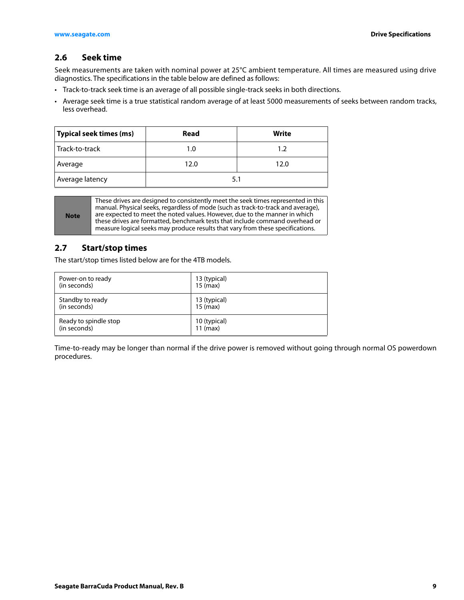## <span id="page-9-0"></span>**2.6 Seek time**

Seek measurements are taken with nominal power at 25°C ambient temperature. All times are measured using drive diagnostics. The specifications in the table below are defined as follows:

- Track-to-track seek time is an average of all possible single-track seeks in both directions.
- Average seek time is a true statistical random average of at least 5000 measurements of seeks between random tracks, less overhead.

| Typical seek times (ms) | Read | Write |
|-------------------------|------|-------|
| ∣ Track-to-track        | 1.0  | 1.2   |
| Average                 | 12.0 | 12.0  |
| Average latency         | 5.1  |       |

**Note**

These drives are designed to consistently meet the seek times represented in this manual. Physical seeks, regardless of mode (such as track-to-track and average), are expected to meet the noted values. However, due to the manner in which these drives are formatted, benchmark tests that include command overhead or measure logical seeks may produce results that vary from these specifications.

## <span id="page-9-1"></span>**2.7 Start/stop times**

The start/stop times listed below are for the 4TB models.

| Power-on to ready     | 13 (typical) |
|-----------------------|--------------|
| (in seconds)          | $15$ (max)   |
| Standby to ready      | 13 (typical) |
| (in seconds)          | $15$ (max)   |
| Ready to spindle stop | 10 (typical) |
| (in seconds)          | $11$ (max)   |

Time-to-ready may be longer than normal if the drive power is removed without going through normal OS powerdown procedures.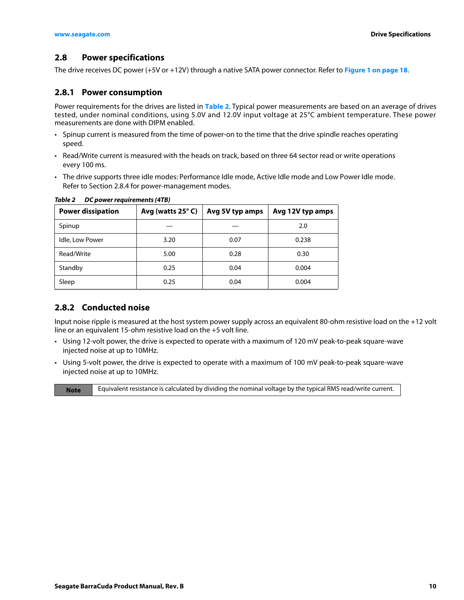## <span id="page-10-0"></span>**2.8 Power specifications**

The drive receives DC power (+5V or +12V) through a native SATA power connector. Refer to **[Figure 1 on page 18](#page-18-4)**.

### <span id="page-10-1"></span>**2.8.1 Power consumption**

Power requirements for the drives are listed in **[Table 2](#page-10-3)**. Typical power measurements are based on an average of drives tested, under nominal conditions, using 5.0V and 12.0V input voltage at 25°C ambient temperature. These power measurements are done with DIPM enabled.

- Spinup current is measured from the time of power-on to the time that the drive spindle reaches operating speed.
- Read/Write current is measured with the heads on track, based on three 64 sector read or write operations every 100 ms.
- The drive supports three idle modes: Performance Idle mode, Active Idle mode and Low Power Idle mode. Refer to [Section 2.8.4](#page-11-1) for power-management modes.

| <b>Power dissipation</b> | Avg (watts 25°C) | Avg 5V typ amps | Avg 12V typ amps |
|--------------------------|------------------|-----------------|------------------|
| Spinup                   |                  |                 | 2.0              |
| Idle, Low Power          | 3.20             | 0.07            | 0.238            |
| Read/Write               | 5.00             | 0.28            | 0.30             |
| Standby                  | 0.25             | 0.04            | 0.004            |
| Sleep                    | 0.25             | 0.04            | 0.004            |

#### <span id="page-10-3"></span>*Table 2 DC power requirements (4TB)*

### <span id="page-10-2"></span>**2.8.2 Conducted noise**

Input noise ripple is measured at the host system power supply across an equivalent 80-ohm resistive load on the +12 volt line or an equivalent 15-ohm resistive load on the +5 volt line.

- Using 12-volt power, the drive is expected to operate with a maximum of 120 mV peak-to-peak square-wave injected noise at up to 10MHz.
- Using 5-volt power, the drive is expected to operate with a maximum of 100 mV peak-to-peak square-wave injected noise at up to 10MHz.

**Note** Equivalent resistance is calculated by dividing the nominal voltage by the typical RMS read/write current.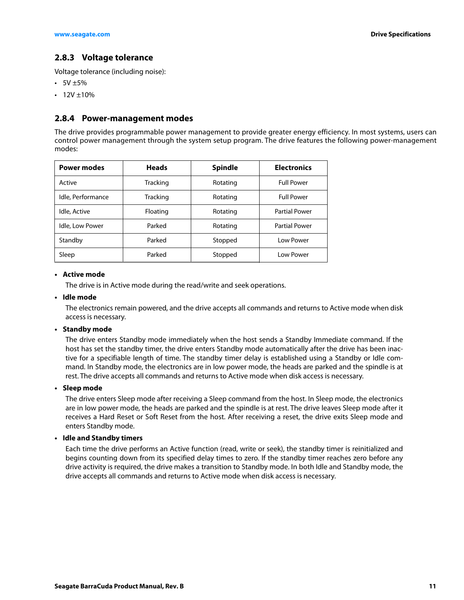## <span id="page-11-0"></span>**2.8.3 Voltage tolerance**

Voltage tolerance (including noise):

- $5V \pm 5\%$
- $12V \pm 10\%$

#### <span id="page-11-1"></span>**2.8.4 Power-management modes**

The drive provides programmable power management to provide greater energy efficiency. In most systems, users can control power management through the system setup program. The drive features the following power-management modes:

| <b>Power modes</b> | <b>Heads</b>    | <b>Spindle</b> | <b>Electronics</b>   |
|--------------------|-----------------|----------------|----------------------|
| Active             | <b>Tracking</b> | Rotating       | <b>Full Power</b>    |
| Idle, Performance  | Tracking        | Rotating       | <b>Full Power</b>    |
| Idle, Active       | Floating        | Rotating       | <b>Partial Power</b> |
| Idle, Low Power    | Parked          | Rotating       | <b>Partial Power</b> |
| Standby            | Parked          | Stopped        | <b>Low Power</b>     |
| Sleep              | Parked          | Stopped        | Low Power            |

#### **• Active mode**

The drive is in Active mode during the read/write and seek operations.

#### **• Idle mode**

The electronics remain powered, and the drive accepts all commands and returns to Active mode when disk access is necessary.

#### **• Standby mode**

The drive enters Standby mode immediately when the host sends a Standby Immediate command. If the host has set the standby timer, the drive enters Standby mode automatically after the drive has been inactive for a specifiable length of time. The standby timer delay is established using a Standby or Idle command. In Standby mode, the electronics are in low power mode, the heads are parked and the spindle is at rest. The drive accepts all commands and returns to Active mode when disk access is necessary.

#### **• Sleep mode**

The drive enters Sleep mode after receiving a Sleep command from the host. In Sleep mode, the electronics are in low power mode, the heads are parked and the spindle is at rest. The drive leaves Sleep mode after it receives a Hard Reset or Soft Reset from the host. After receiving a reset, the drive exits Sleep mode and enters Standby mode.

#### **• Idle and Standby timers**

Each time the drive performs an Active function (read, write or seek), the standby timer is reinitialized and begins counting down from its specified delay times to zero. If the standby timer reaches zero before any drive activity is required, the drive makes a transition to Standby mode. In both Idle and Standby mode, the drive accepts all commands and returns to Active mode when disk access is necessary.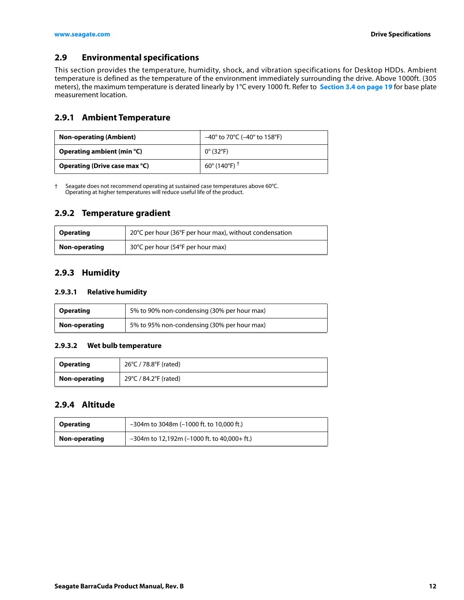## <span id="page-12-0"></span>**2.9 Environmental specifications**

This section provides the temperature, humidity, shock, and vibration specifications for Desktop HDDs. Ambient temperature is defined as the temperature of the environment immediately surrounding the drive. Above 1000ft. (305 meters), the maximum temperature is derated linearly by 1°C every 1000 ft. Refer to **[Section 3.4 on page 19](#page-19-0)** for base plate measurement location.

## <span id="page-12-1"></span>**2.9.1 Ambient Temperature**

| <b>Non-operating (Ambient)</b> | $-40^{\circ}$ to 70°C ( $-40^{\circ}$ to 158°F) |
|--------------------------------|-------------------------------------------------|
| Operating ambient (min °C)     | $0^{\circ}$ (32 $^{\circ}$ F)                   |
| Operating (Drive case max °C)  | 60 $^{\circ}$ (140 $^{\circ}$ F) <sup>+</sup>   |

† Seagate does not recommend operating at sustained case temperatures above 60°C. Operating at higher temperatures will reduce useful life of the product.

## <span id="page-12-2"></span>**2.9.2 Temperature gradient**

| <b>Operating</b> | 20°C per hour (36°F per hour max), without condensation |
|------------------|---------------------------------------------------------|
| Non-operating    | 30°C per hour (54°F per hour max)                       |

## <span id="page-12-3"></span>**2.9.3 Humidity**

#### **2.9.3.1 Relative humidity**

| <b>Operating</b> | 5% to 90% non-condensing (30% per hour max) |
|------------------|---------------------------------------------|
| Non-operating    | 5% to 95% non-condensing (30% per hour max) |

#### **2.9.3.2 Wet bulb temperature**

| <b>Operating</b> | 26°C / 78.8°F (rated) |
|------------------|-----------------------|
| Non-operating    | 29°C / 84.2°F (rated) |

## <span id="page-12-4"></span>**2.9.4 Altitude**

| Operating                                                       | $-304$ m to 3048m ( $-1000$ ft. to 10,000 ft.) |
|-----------------------------------------------------------------|------------------------------------------------|
| $-304$ m to 12,192m (-1000 ft. to 40,000+ ft.)<br>Non-operating |                                                |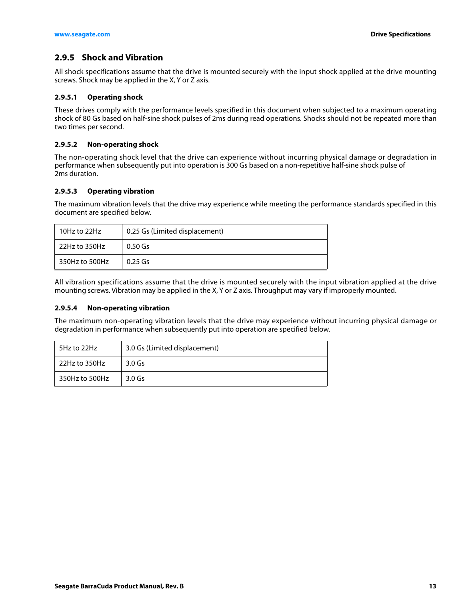## <span id="page-13-0"></span>**2.9.5 Shock and Vibration**

All shock specifications assume that the drive is mounted securely with the input shock applied at the drive mounting screws. Shock may be applied in the X, Y or Z axis.

#### **2.9.5.1 Operating shock**

These drives comply with the performance levels specified in this document when subjected to a maximum operating shock of 80 Gs based on half-sine shock pulses of 2ms during read operations. Shocks should not be repeated more than two times per second.

#### **2.9.5.2 Non-operating shock**

The non-operating shock level that the drive can experience without incurring physical damage or degradation in performance when subsequently put into operation is 300 Gs based on a non-repetitive half-sine shock pulse of 2ms duration.

#### **2.9.5.3 Operating vibration**

The maximum vibration levels that the drive may experience while meeting the performance standards specified in this document are specified below.

| 10Hz to 22Hz   | 0.25 Gs (Limited displacement) |
|----------------|--------------------------------|
| 22Hz to 350Hz  | $0.50$ Gs                      |
| 350Hz to 500Hz | $0.25$ Gs                      |

All vibration specifications assume that the drive is mounted securely with the input vibration applied at the drive mounting screws. Vibration may be applied in the X, Y or Z axis. Throughput may vary if improperly mounted.

#### **2.9.5.4 Non-operating vibration**

The maximum non-operating vibration levels that the drive may experience without incurring physical damage or degradation in performance when subsequently put into operation are specified below.

| 5Hz to 22Hz    | 3.0 Gs (Limited displacement) |  |
|----------------|-------------------------------|--|
| 22Hz to 350Hz  | $3.0$ Gs                      |  |
| 350Hz to 500Hz | $3.0$ Gs                      |  |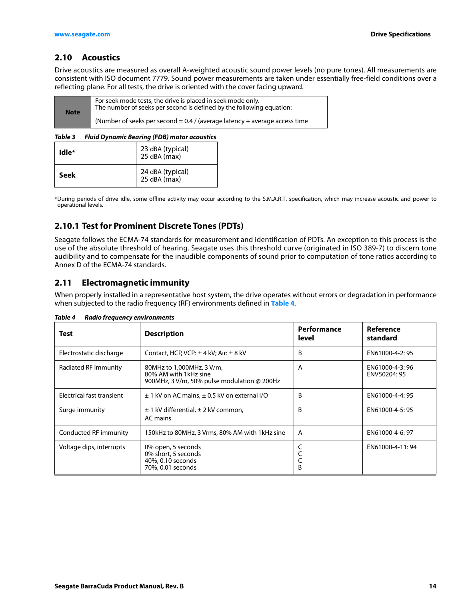## <span id="page-14-0"></span>**2.10 Acoustics**

Drive acoustics are measured as overall A-weighted acoustic sound power levels (no pure tones). All measurements are consistent with ISO document 7779. Sound power measurements are taken under essentially free-field conditions over a reflecting plane. For all tests, the drive is oriented with the cover facing upward.

| <b>Note</b> | For seek mode tests, the drive is placed in seek mode only.<br>The number of seeks per second is defined by the following equation: |
|-------------|-------------------------------------------------------------------------------------------------------------------------------------|
|             | (Number of seeks per second = $0.4$ / (average latency + average access time                                                        |

#### *Table 3 Fluid Dynamic Bearing (FDB) motor acoustics*

| Idle* | 23 dBA (typical)<br>$25$ dBA (max) |
|-------|------------------------------------|
| Seek  | 24 dBA (typical)<br>25 dBA (max)   |

\*During periods of drive idle, some offline activity may occur according to the S.M.A.R.T. specification, which may increase acoustic and power to operational levels.

## <span id="page-14-1"></span>**2.10.1 Test for Prominent Discrete Tones (PDTs)**

Seagate follows the ECMA-74 standards for measurement and identification of PDTs. An exception to this process is the use of the absolute threshold of hearing. Seagate uses this threshold curve (originated in ISO 389-7) to discern tone audibility and to compensate for the inaudible components of sound prior to computation of tone ratios according to Annex D of the ECMA-74 standards.

## <span id="page-14-2"></span>**2.11 Electromagnetic immunity**

When properly installed in a representative host system, the drive operates without errors or degradation in performance when subjected to the radio frequency (RF) environments defined in **[Table 4](#page-14-3)**.

| Test                      | <b>Description</b>                                                                                | Performance<br>level | Reference<br>standard          |
|---------------------------|---------------------------------------------------------------------------------------------------|----------------------|--------------------------------|
| Electrostatic discharge   | Contact, HCP, VCP: $\pm$ 4 kV; Air: $\pm$ 8 kV                                                    | B                    | EN61000-4-2:95                 |
| Radiated RF immunity      | 80MHz to 1,000MHz, 3 V/m,<br>80% AM with 1kHz sine<br>900MHz, 3 V/m, 50% pulse modulation @ 200Hz | A                    | EN61000-4-3:96<br>ENV50204: 95 |
| Electrical fast transient | $\pm$ 1 kV on AC mains, $\pm$ 0.5 kV on external I/O                                              | B                    | EN61000-4-4: 95                |
| Surge immunity            | $\pm$ 1 kV differential, $\pm$ 2 kV common,<br>AC mains                                           | B                    | EN61000-4-5: 95                |
| Conducted RF immunity     | 150kHz to 80MHz, 3 Vrms, 80% AM with 1kHz sine                                                    | A                    | EN61000-4-6: 97                |
| Voltage dips, interrupts  | 0% open, 5 seconds<br>0% short, 5 seconds<br>40%, 0.10 seconds<br>70%, 0.01 seconds               | C<br>B               | EN61000-4-11:94                |

#### <span id="page-14-3"></span>*Table 4 Radio frequency environments*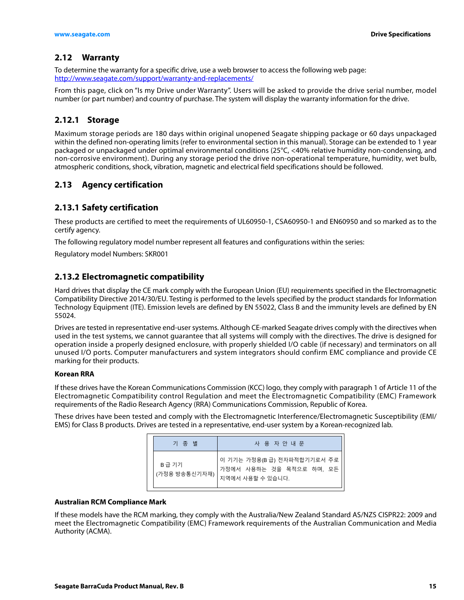## <span id="page-15-0"></span>**2.12 Warranty**

[To determine the warranty for a specific drive, use a web browser to access the following web page:](http://support.seagate.com/customer/warranty_validation.jsp) http://www.seagate.com/support/warranty-and-replacements/

From this page, click on "Is my Drive under Warranty". Users will be asked to provide the drive serial number, model number (or part number) and country of purchase. The system will display the warranty information for the drive.

## <span id="page-15-1"></span>**2.12.1 Storage**

Maximum storage periods are 180 days within original unopened Seagate shipping package or 60 days unpackaged within the defined non-operating limits (refer to environmental section in this manual). Storage can be extended to 1 year packaged or unpackaged under optimal environmental conditions (25°C, <40% relative humidity non-condensing, and non-corrosive environment). During any storage period the drive non-operational temperature, humidity, wet bulb, atmospheric conditions, shock, vibration, magnetic and electrical field specifications should be followed.

## <span id="page-15-2"></span>**2.13 Agency certification**

## <span id="page-15-3"></span>**2.13.1 Safety certification**

These products are certified to meet the requirements of UL60950-1, CSA60950-1 and EN60950 and so marked as to the certify agency.

The following regulatory model number represent all features and configurations within the series:

Regulatory model Numbers: SKR001

## <span id="page-15-4"></span>**2.13.2 Electromagnetic compatibility**

Hard drives that display the CE mark comply with the European Union (EU) requirements specified in the Electromagnetic Compatibility Directive 2014/30/EU. Testing is performed to the levels specified by the product standards for Information Technology Equipment (ITE). Emission levels are defined by EN 55022, Class B and the immunity levels are defined by EN 55024.

Drives are tested in representative end-user systems. Although CE-marked Seagate drives comply with the directives when used in the test systems, we cannot guarantee that all systems will comply with the directives. The drive is designed for operation inside a properly designed enclosure, with properly shielded I/O cable (if necessary) and terminators on all unused I/O ports. Computer manufacturers and system integrators should confirm EMC compliance and provide CE marking for their products.

#### **Korean RRA**

If these drives have the Korean Communications Commission (KCC) logo, they comply with paragraph 1 of Article 11 of the Electromagnetic Compatibility control Regulation and meet the Electromagnetic Compatibility (EMC) Framework requirements of the Radio Research Agency (RRA) Communications Commission, Republic of Korea.

These drives have been tested and comply with the Electromagnetic Interference/Electromagnetic Susceptibility (EMI/ EMS) for Class B products. Drives are tested in a representative, end-user system by a Korean-recognized lab.

| 기 종 별                  | 사 용 자 안 내 문                                                                |
|------------------------|----------------------------------------------------------------------------|
| B급 기기<br>(가정용 방송통신기자재) | 이 기기는 가정용(B급) 전자파적합기기로서 주로<br>가정에서 사용하는 것을 목적으로 하며, 모든<br>지역에서 사용할 수 있습니다. |

#### **Australian RCM Compliance Mark**

If these models have the RCM marking, they comply with the Australia/New Zealand Standard AS/NZS CISPR22: 2009 and meet the Electromagnetic Compatibility (EMC) Framework requirements of the Australian Communication and Media Authority (ACMA).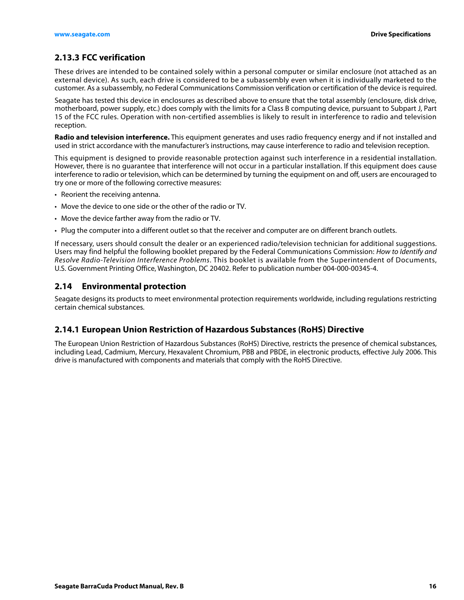## <span id="page-16-0"></span>**2.13.3 FCC verification**

These drives are intended to be contained solely within a personal computer or similar enclosure (not attached as an external device). As such, each drive is considered to be a subassembly even when it is individually marketed to the customer. As a subassembly, no Federal Communications Commission verification or certification of the device is required.

Seagate has tested this device in enclosures as described above to ensure that the total assembly (enclosure, disk drive, motherboard, power supply, etc.) does comply with the limits for a Class B computing device, pursuant to Subpart J, Part 15 of the FCC rules. Operation with non-certified assemblies is likely to result in interference to radio and television reception.

**Radio and television interference.** This equipment generates and uses radio frequency energy and if not installed and used in strict accordance with the manufacturer's instructions, may cause interference to radio and television reception.

This equipment is designed to provide reasonable protection against such interference in a residential installation. However, there is no guarantee that interference will not occur in a particular installation. If this equipment does cause interference to radio or television, which can be determined by turning the equipment on and off, users are encouraged to try one or more of the following corrective measures:

- Reorient the receiving antenna.
- Move the device to one side or the other of the radio or TV.
- Move the device farther away from the radio or TV.
- Plug the computer into a different outlet so that the receiver and computer are on different branch outlets.

If necessary, users should consult the dealer or an experienced radio/television technician for additional suggestions. Users may find helpful the following booklet prepared by the Federal Communications Commission: How to Identify and Resolve Radio-Television Interference Problems. This booklet is available from the Superintendent of Documents, U.S. Government Printing Office, Washington, DC 20402. Refer to publication number 004-000-00345-4.

#### <span id="page-16-1"></span>**2.14 Environmental protection**

Seagate designs its products to meet environmental protection requirements worldwide, including regulations restricting certain chemical substances.

#### <span id="page-16-2"></span>**2.14.1 European Union Restriction of Hazardous Substances (RoHS) Directive**

The European Union Restriction of Hazardous Substances (RoHS) Directive, restricts the presence of chemical substances, including Lead, Cadmium, Mercury, Hexavalent Chromium, PBB and PBDE, in electronic products, effective July 2006. This drive is manufactured with components and materials that comply with the RoHS Directive.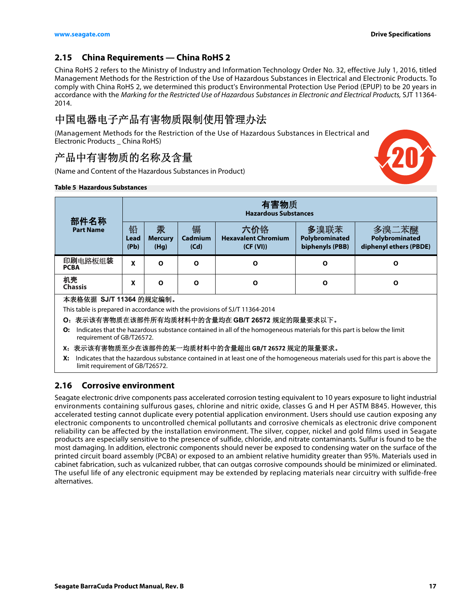20

## <span id="page-17-0"></span>**2.15 China Requirements — China RoHS 2**

China RoHS 2 refers to the Ministry of Industry and Information Technology Order No. 32, effective July 1, 2016, titled Management Methods for the Restriction of the Use of Hazardous Substances in Electrical and Electronic Products. To comply with China RoHS 2, we determined this product's Environmental Protection Use Period (EPUP) to be 20 years in accordance with the Marking for the Restricted Use of Hazardous Substances in Electronic and Electrical Products, SJT 11364- 2014.

## 中国电器电子产品有害物质限制使用管理办法

(Management Methods for the Restriction of the Use of Hazardous Substances in Electrical and Electronic Products \_ China RoHS)

## 产品中有害物质的名称及含量

(Name and Content of the Hazardous Substances in Product)

#### **Table 5 Hazardous Substances**

| 部件名称                                                                                                                                                       | 有害物质<br><b>Hazardous Substances</b> |                             |                      |                                                |                                           |                                                   |
|------------------------------------------------------------------------------------------------------------------------------------------------------------|-------------------------------------|-----------------------------|----------------------|------------------------------------------------|-------------------------------------------|---------------------------------------------------|
| <b>Part Name</b>                                                                                                                                           | 铅<br>Lead<br>(Pb)                   | 汞<br><b>Mercury</b><br>(Hg) | 镉<br>Cadmium<br>(Cd) | 六价铬<br><b>Hexavalent Chromium</b><br>(CF (VI)) | 多溴联苯<br>Polybrominated<br>biphenyls (PBB) | 多溴二苯醚<br>Polybrominated<br>diphenyl ethers (PBDE) |
| 印刷电路板组装<br><b>PCBA</b>                                                                                                                                     | X                                   | O                           | Ο                    | Ο                                              | O                                         | O                                                 |
| 机壳<br><b>Chassis</b>                                                                                                                                       | x                                   | O                           | Ο                    | Ο                                              | $\mathbf{o}$                              | O                                                 |
| 本表格依据 SJ/T 11364 的规定编制。<br>This table is prepared in accordance with the provisions of SJ/T 11364-2014<br>O: 表示该有害物质在该部件所有均质材料中的含量均在 GB/T 26572 规定的限量要求以下。 |                                     |                             |                      |                                                |                                           |                                                   |

- **O:** Indicates that the hazardous substance contained in all of the homogeneous materials for this part is below the limit requirement of GB/T26572.
- **X**:表示该有害物质至少在该部件的某一均质材料中的含量超出 **GB/T 26572** 规定的限量要求。
- **X:** Indicates that the hazardous substance contained in at least one of the homogeneous materials used for this part is above the limit requirement of GB/T26572.

## <span id="page-17-1"></span>**2.16 Corrosive environment**

Seagate electronic drive components pass accelerated corrosion testing equivalent to 10 years exposure to light industrial environments containing sulfurous gases, chlorine and nitric oxide, classes G and H per ASTM B845. However, this accelerated testing cannot duplicate every potential application environment. Users should use caution exposing any electronic components to uncontrolled chemical pollutants and corrosive chemicals as electronic drive component reliability can be affected by the installation environment. The silver, copper, nickel and gold films used in Seagate products are especially sensitive to the presence of sulfide, chloride, and nitrate contaminants. Sulfur is found to be the most damaging. In addition, electronic components should never be exposed to condensing water on the surface of the printed circuit board assembly (PCBA) or exposed to an ambient relative humidity greater than 95%. Materials used in cabinet fabrication, such as vulcanized rubber, that can outgas corrosive compounds should be minimized or eliminated. The useful life of any electronic equipment may be extended by replacing materials near circuitry with sulfide-free alternatives.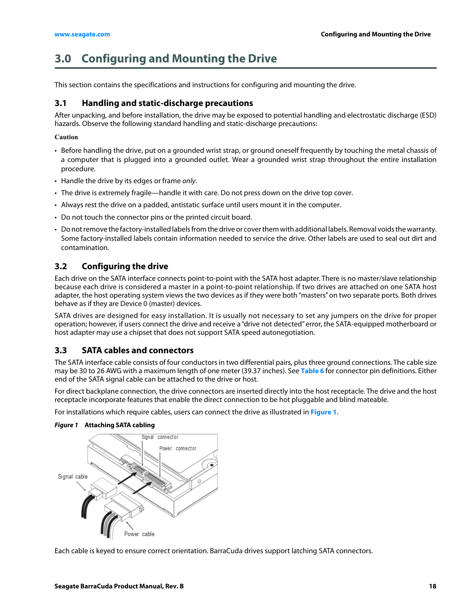## <span id="page-18-0"></span>**3.0 Configuring and Mounting the Drive**

This section contains the specifications and instructions for configuring and mounting the drive.

## <span id="page-18-1"></span>**3.1 Handling and static-discharge precautions**

After unpacking, and before installation, the drive may be exposed to potential handling and electrostatic discharge (ESD) hazards. Observe the following standard handling and static-discharge precautions:

#### **Caution**

- Before handling the drive, put on a grounded wrist strap, or ground oneself frequently by touching the metal chassis of a computer that is plugged into a grounded outlet. Wear a grounded wrist strap throughout the entire installation procedure.
- Handle the drive by its edges or frame only.
- The drive is extremely fragile—handle it with care. Do not press down on the drive top cover.
- Always rest the drive on a padded, antistatic surface until users mount it in the computer.
- Do not touch the connector pins or the printed circuit board.
- Do not remove the factory-installed labels from the drive or cover them with additional labels. Removal voids the warranty. Some factory-installed labels contain information needed to service the drive. Other labels are used to seal out dirt and contamination.

## <span id="page-18-2"></span>**3.2 Configuring the drive**

Each drive on the SATA interface connects point-to-point with the SATA host adapter. There is no master/slave relationship because each drive is considered a master in a point-to-point relationship. If two drives are attached on one SATA host adapter, the host operating system views the two devices as if they were both "masters" on two separate ports. Both drives behave as if they are Device 0 (master) devices.

SATA drives are designed for easy installation. It is usually not necessary to set any jumpers on the drive for proper operation; however, if users connect the drive and receive a "drive not detected" error, the SATA-equipped motherboard or host adapter may use a chipset that does not support SATA speed autonegotiation.

### <span id="page-18-3"></span>**3.3 SATA cables and connectors**

The SATA interface cable consists of four conductors in two differential pairs, plus three ground connections. The cable size may be 30 to 26 AWG with a maximum length of one meter (39.37 inches). See **[Table 6](#page-20-3)** for connector pin definitions. Either end of the SATA signal cable can be attached to the drive or host.

For direct backplane connection, the drive connectors are inserted directly into the host receptacle. The drive and the host receptacle incorporate features that enable the direct connection to be hot pluggable and blind mateable.

For installations which require cables, users can connect the drive as illustrated in **[Figure 1](#page-18-4)**.



#### <span id="page-18-4"></span>*Figure 1* **Attaching SATA cabling**

Each cable is keyed to ensure correct orientation. BarraCuda drives support latching SATA connectors.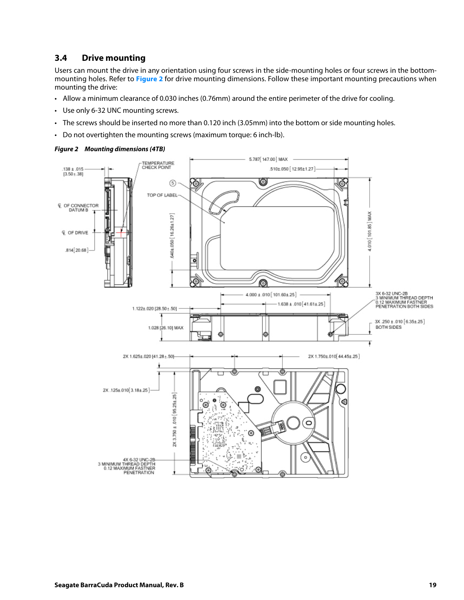## <span id="page-19-0"></span>**3.4 Drive mounting**

Users can mount the drive in any orientation using four screws in the side-mounting holes or four screws in the bottommounting holes. Refer to **[Figure 2](#page-19-1)** for drive mounting dimensions. Follow these important mounting precautions when mounting the drive:

- Allow a minimum clearance of 0.030 inches (0.76mm) around the entire perimeter of the drive for cooling.
- Use only 6-32 UNC mounting screws.
- The screws should be inserted no more than 0.120 inch (3.05mm) into the bottom or side mounting holes.
- Do not overtighten the mounting screws (maximum torque: 6 inch-lb).



#### <span id="page-19-1"></span>*Figure 2 Mounting dimensions (4TB)*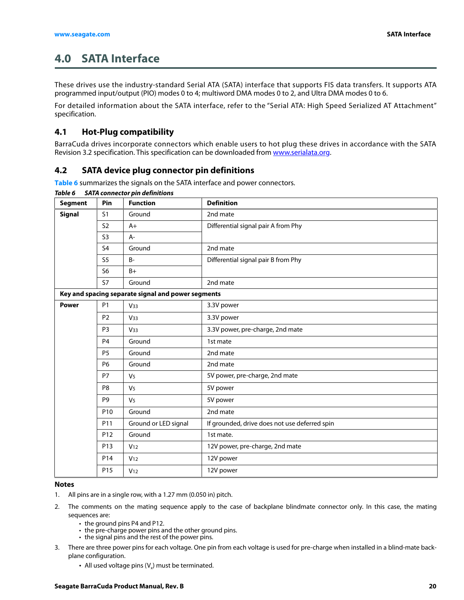## <span id="page-20-0"></span>**4.0 SATA Interface**

These drives use the industry-standard Serial ATA (SATA) interface that supports FIS data transfers. It supports ATA programmed input/output (PIO) modes 0 to 4; multiword DMA modes 0 to 2, and Ultra DMA modes 0 to 6.

For detailed information about the SATA interface, refer to the "Serial ATA: High Speed Serialized AT Attachment" specification.

## <span id="page-20-1"></span>**4.1 Hot-Plug compatibility**

BarraCuda drives incorporate connectors which enable users to hot plug these drives in accordance with the SATA Revision 3.2 specification. This specification can be downloaded from [www.serialata.org](http://www.serialata.org).

## <span id="page-20-2"></span>**4.2 SATA device plug connector pin definitions**

**[Table 6](#page-20-3)** summarizes the signals on the SATA interface and power connectors.

| <b>Segment</b> | Pin             | <b>Function</b>                                    | <b>Definition</b>                             |
|----------------|-----------------|----------------------------------------------------|-----------------------------------------------|
| <b>Signal</b>  | S1              | Ground                                             | 2nd mate                                      |
|                | S <sub>2</sub>  | $A+$                                               | Differential signal pair A from Phy           |
|                | S3              | A-                                                 |                                               |
|                | S4              | Ground                                             | 2nd mate                                      |
|                | S <sub>5</sub>  | <b>B-</b>                                          | Differential signal pair B from Phy           |
|                | S <sub>6</sub>  | $B+$                                               |                                               |
|                | <b>S7</b>       | Ground                                             | 2nd mate                                      |
|                |                 | Key and spacing separate signal and power segments |                                               |
| <b>Power</b>   | <b>P1</b>       | V <sub>33</sub>                                    | 3.3V power                                    |
|                | P <sub>2</sub>  | V <sub>33</sub>                                    | 3.3V power                                    |
|                | P <sub>3</sub>  | V <sub>33</sub>                                    | 3.3V power, pre-charge, 2nd mate              |
|                | P <sub>4</sub>  | Ground                                             | 1st mate                                      |
|                | P <sub>5</sub>  | Ground                                             | 2nd mate                                      |
|                | <b>P6</b>       | Ground                                             | 2nd mate                                      |
|                | P7              | V <sub>5</sub>                                     | 5V power, pre-charge, 2nd mate                |
|                | P <sub>8</sub>  | V <sub>5</sub>                                     | 5V power                                      |
|                | P <sub>9</sub>  | V <sub>5</sub>                                     | 5V power                                      |
|                | P10             | Ground                                             | 2nd mate                                      |
|                | P11             | Ground or LED signal                               | If grounded, drive does not use deferred spin |
|                | P <sub>12</sub> | Ground                                             | 1st mate.                                     |
|                | P <sub>13</sub> | V <sub>12</sub>                                    | 12V power, pre-charge, 2nd mate               |
|                | P <sub>14</sub> | V <sub>12</sub>                                    | 12V power                                     |
|                | P <sub>15</sub> | V <sub>12</sub>                                    | 12V power                                     |

#### <span id="page-20-3"></span>*Table 6 SATA connector pin definitions*

#### **Notes**

- 1. All pins are in a single row, with a 1.27 mm (0.050 in) pitch.
- 2. The comments on the mating sequence apply to the case of backplane blindmate connector only. In this case, the mating sequences are:
	- the ground pins P4 and P12.
	- the pre-charge power pins and the other ground pins.
	- the signal pins and the rest of the power pins.
- 3. There are three power pins for each voltage. One pin from each voltage is used for pre-charge when installed in a blind-mate backplane configuration.
	- All used voltage pins  $(V_x)$  must be terminated.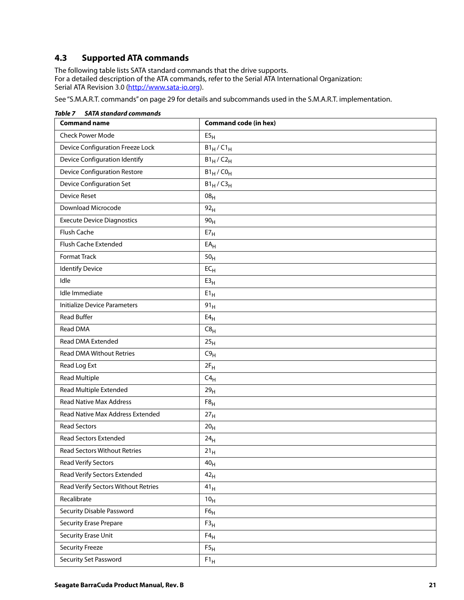## <span id="page-21-0"></span>**4.3 Supported ATA commands**

The following table lists SATA standard commands that the drive supports. For a detailed description of the ATA commands, refer to the Serial ATA International Organization: Serial ATA Revision 3.0 [\(http://www.sata-io.or](http://www.sata-io.org)g).

[See "S.M.A.R.T. commands" on page 29](#page-29-0) for details and subcommands used in the S.M.A.R.T. implementation.

| JAIA Stunuuru communus              |                              |
|-------------------------------------|------------------------------|
| <b>Command name</b>                 | <b>Command code (in hex)</b> |
| <b>Check Power Mode</b>             | E5 <sub>H</sub>              |
| Device Configuration Freeze Lock    | $B1_H/C1_H$                  |
| Device Configuration Identify       | $B1_H/C2_H$                  |
| <b>Device Configuration Restore</b> | $B1_H$ /CO <sub>H</sub>      |
| <b>Device Configuration Set</b>     | $B1_H / C3_H$                |
| <b>Device Reset</b>                 | 08 <sub>H</sub>              |
| Download Microcode                  | 92 <sub>H</sub>              |
| <b>Execute Device Diagnostics</b>   | 90 <sub>H</sub>              |
| Flush Cache                         | $E7_H$                       |
| Flush Cache Extended                | $EA_H$                       |
| Format Track                        | 50 <sub>H</sub>              |
| <b>Identify Device</b>              | $EC_{H}$                     |
| Idle                                | E3 <sub>H</sub>              |
| Idle Immediate                      | $E1_H$                       |
| <b>Initialize Device Parameters</b> | 91 <sub>H</sub>              |
| <b>Read Buffer</b>                  | $E4_H$                       |
| Read DMA                            | C8 <sub>H</sub>              |
| Read DMA Extended                   | 25 <sub>H</sub>              |
| <b>Read DMA Without Retries</b>     | C9 <sub>H</sub>              |
| Read Log Ext                        | $2F_H$                       |
| <b>Read Multiple</b>                | $C4_H$                       |
| Read Multiple Extended              | 29 <sub>H</sub>              |
| <b>Read Native Max Address</b>      | F8 <sub>H</sub>              |
| Read Native Max Address Extended    | 27 <sub>H</sub>              |
| <b>Read Sectors</b>                 | 20 <sub>H</sub>              |
| <b>Read Sectors Extended</b>        | 24 <sub>H</sub>              |
| <b>Read Sectors Without Retries</b> | 21 <sub>H</sub>              |
| <b>Read Verify Sectors</b>          | 40 <sub>H</sub>              |
| Read Verify Sectors Extended        | 42 <sub>H</sub>              |
| Read Verify Sectors Without Retries | $41_H$                       |
| Recalibrate                         | 10 <sub>H</sub>              |
| Security Disable Password           | $F6_H$                       |
| <b>Security Erase Prepare</b>       | $\mathsf{F3}_\mathsf{H}$     |
| <b>Security Erase Unit</b>          | $F4_H$                       |
| <b>Security Freeze</b>              | F5 <sub>H</sub>              |
| Security Set Password               | ${\rm F1_H}$                 |

*Table 7 SATA standard commands*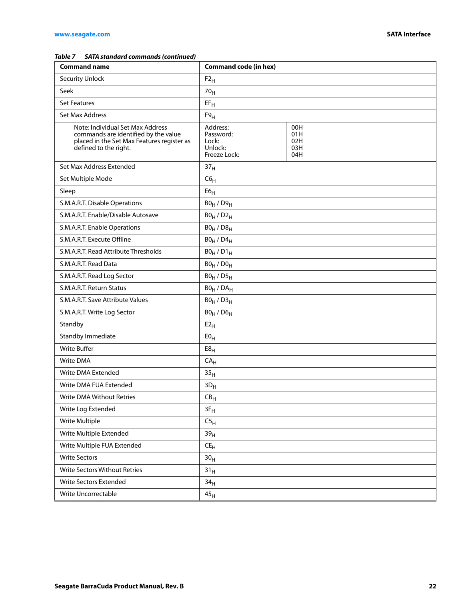#### *Table 7 SATA standard commands (continued)*

| <b>Command name</b>                                                                                                                             | <b>Command code (in hex)</b>                              |                                 |
|-------------------------------------------------------------------------------------------------------------------------------------------------|-----------------------------------------------------------|---------------------------------|
| <b>Security Unlock</b>                                                                                                                          | $F2_H$                                                    |                                 |
| Seek                                                                                                                                            | 70 <sub>H</sub>                                           |                                 |
| <b>Set Features</b>                                                                                                                             | $EF_H$                                                    |                                 |
| Set Max Address                                                                                                                                 | F9 <sub>H</sub>                                           |                                 |
| Note: Individual Set Max Address<br>commands are identified by the value<br>placed in the Set Max Features register as<br>defined to the right. | Address:<br>Password:<br>Lock:<br>Unlock:<br>Freeze Lock: | 00H<br>01H<br>02H<br>03H<br>04H |
| Set Max Address Extended                                                                                                                        | 37 <sub>H</sub>                                           |                                 |
| Set Multiple Mode                                                                                                                               | C6 <sub>H</sub>                                           |                                 |
| Sleep                                                                                                                                           | ${\sf E6}_{\sf H}$                                        |                                 |
| S.M.A.R.T. Disable Operations                                                                                                                   | $B0_H / D9_H$                                             |                                 |
| S.M.A.R.T. Enable/Disable Autosave                                                                                                              | $B0_H / D2_H$                                             |                                 |
| S.M.A.R.T. Enable Operations                                                                                                                    | $B0_H / D8_H$                                             |                                 |
| S.M.A.R.T. Execute Offline                                                                                                                      | $B0_H / D4_H$                                             |                                 |
| S.M.A.R.T. Read Attribute Thresholds                                                                                                            | $B0_H / D1_H$                                             |                                 |
| S.M.A.R.T. Read Data                                                                                                                            | $B0_H / D0_H$                                             |                                 |
| S.M.A.R.T. Read Log Sector                                                                                                                      | $B0_H / D5_H$                                             |                                 |
| S.M.A.R.T. Return Status                                                                                                                        | $BO_H / DA_H$                                             |                                 |
| S.M.A.R.T. Save Attribute Values                                                                                                                | $B0_H / D3_H$                                             |                                 |
| S.M.A.R.T. Write Log Sector                                                                                                                     | $B0_H$ / $D6_H$                                           |                                 |
| Standby                                                                                                                                         | E2 <sub>H</sub>                                           |                                 |
| Standby Immediate                                                                                                                               | E0 <sub>H</sub>                                           |                                 |
| <b>Write Buffer</b>                                                                                                                             | E8 <sub>H</sub>                                           |                                 |
| <b>Write DMA</b>                                                                                                                                | $\mathsf{CA}_{\mathsf{H}}$                                |                                 |
| Write DMA Extended                                                                                                                              | 35 <sub>H</sub>                                           |                                 |
| Write DMA FUA Extended                                                                                                                          | $3D_H$                                                    |                                 |
| Write DMA Without Retries                                                                                                                       | $\mathsf{CB}_\mathsf{H}$                                  |                                 |
| Write Log Extended                                                                                                                              | $3F_H$                                                    |                                 |
| Write Multiple                                                                                                                                  | C5 <sub>H</sub>                                           |                                 |
| Write Multiple Extended                                                                                                                         | 39 <sub>H</sub>                                           |                                 |
| Write Multiple FUA Extended                                                                                                                     | $CE_{H}$                                                  |                                 |
| <b>Write Sectors</b>                                                                                                                            | 30 <sub>H</sub>                                           |                                 |
| Write Sectors Without Retries                                                                                                                   | 31 <sub>H</sub>                                           |                                 |
| Write Sectors Extended                                                                                                                          | 34 <sub>H</sub>                                           |                                 |
| Write Uncorrectable                                                                                                                             | $45_{\rm H}$                                              |                                 |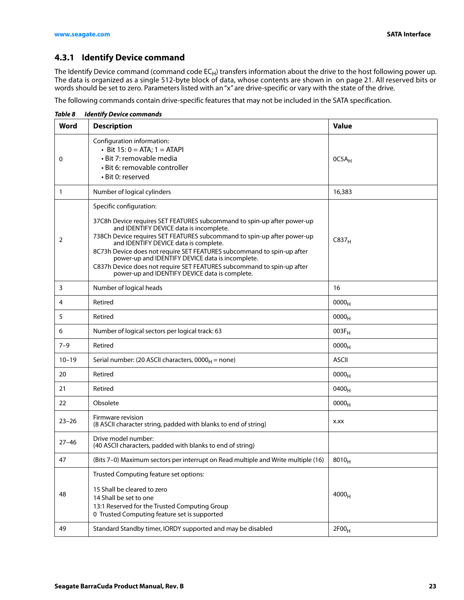## <span id="page-23-0"></span>**4.3.1 Identify Device command**

The Identify Device command (command code  $EC_H$ ) transfers information about the drive to the host following power up. The data is organized as a single 512-byte block of data, whose contents are shown in on page 21. All reserved bits or words should be set to zero. Parameters listed with an "x" are drive-specific or vary with the state of the drive.

The following commands contain drive-specific features that may not be included in the SATA specification.

**Word Description Value** 0 Configuration information: • Bit  $15: 0 = ATA; 1 = ATAPI$ • Bit 7: removable media • Bit 6: removable controller • Bit 0: reserved  $0C5A_H$ 1 Number of logical cylinders 16,383 2 Specific configuration: 37C8h Device requires SET FEATURES subcommand to spin-up after power-up and IDENTIFY DEVICE data is incomplete. 738Ch Device requires SET FEATURES subcommand to spin-up after power-up and IDENTIFY DEVICE data is complete. 8C73h Device does not require SET FEATURES subcommand to spin-up after power-up and IDENTIFY DEVICE data is incomplete. C837h Device does not require SET FEATURES subcommand to spin-up after power-up and IDENTIFY DEVICE data is complete.  $C837<sub>H</sub>$ 3 Number of logical heads 16 4 Retired 10000<sub>H</sub> 5 Retired  $\begin{bmatrix} 5 \end{bmatrix}$  Retired 6 Number of logical sectors per logical track: 63 003F<sub>H</sub> 7–9 Retired 10000<sub>H</sub>  $10-19$  Serial number: (20 ASCII characters,  $0000_H$  = none) ASCII 20 Retired  $\begin{bmatrix} 0 & 0 & 0 \end{bmatrix}$ 21 Retired 10400<sub>H</sub> 22 Obsolete 1990 in the set of the set of the set of the set of the set of the set of the set of the set of the set of the set of the set of the set of the set of the set of the set of the set of the set of the set of the 23–26 Firmware revision (8 ASCII character string, padded with blanks to end of string) **x**.xx 27–46 Drive model number: (40 ASCII characters, padded with blanks to end of string) 47 (Bits 7–0) Maximum sectors per interrupt on Read multiple and Write multiple (16)  $\vert$  8010<sub>H</sub> 48 Trusted Computing feature set options: 15 Shall be cleared to zero 14 Shall be set to one 13:1 Reserved for the Trusted Computing Group 0 Trusted Computing feature set is supported  $4000_H$ 49 Standard Standby timer, IORDY supported and may be disabled  $2F00<sub>H</sub>$ 

*Table 8 Identify Device commands*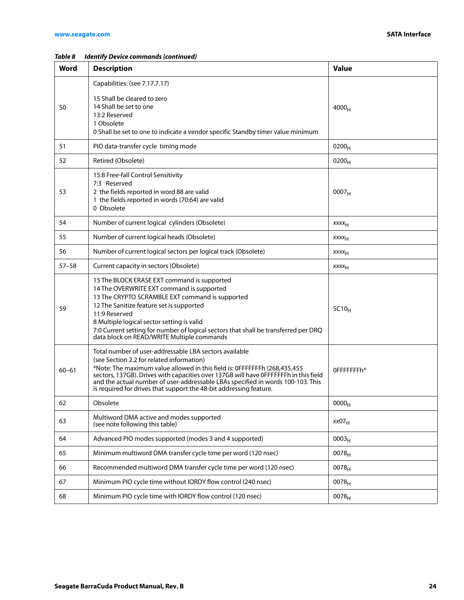| Word      | <b>Description</b>                                                                                                                                                                                                                                                                                                                                                                                                                 | <b>Value</b>            |
|-----------|------------------------------------------------------------------------------------------------------------------------------------------------------------------------------------------------------------------------------------------------------------------------------------------------------------------------------------------------------------------------------------------------------------------------------------|-------------------------|
|           | Capabilities: (see 7.17.7.17)                                                                                                                                                                                                                                                                                                                                                                                                      |                         |
| 50        | 15 Shall be cleared to zero<br>14 Shall be set to one<br>13:2 Reserved<br>1 Obsolete<br>0 Shall be set to one to indicate a vendor specific Standby timer value minimum                                                                                                                                                                                                                                                            | $4000_H$                |
| 51        | PIO data-transfer cycle timing mode                                                                                                                                                                                                                                                                                                                                                                                                | $0200_H$                |
| 52        | Retired (Obsolete)                                                                                                                                                                                                                                                                                                                                                                                                                 | 0200 <sub>H</sub>       |
| 53        | 15:8 Free-fall Control Sensitivity<br>7:3 Reserved<br>2 the fields reported in word 88 are valid<br>1 the fields reported in words (70:64) are valid<br>0 Obsolete                                                                                                                                                                                                                                                                 | 0007 <sub>H</sub>       |
| 54        | Number of current logical cylinders (Obsolete)                                                                                                                                                                                                                                                                                                                                                                                     | <b>XXXX<sub>H</sub></b> |
| 55        | Number of current logical heads (Obsolete)                                                                                                                                                                                                                                                                                                                                                                                         | <b>XXXX<sub>H</sub></b> |
| 56        | Number of current logical sectors per logical track (Obsolete)                                                                                                                                                                                                                                                                                                                                                                     | <b>XXXX<sub>H</sub></b> |
| $57 - 58$ | Current capacity in sectors (Obsolete)                                                                                                                                                                                                                                                                                                                                                                                             | <b>XXXX<sub>H</sub></b> |
| 59        | 15 The BLOCK ERASE EXT command is supported<br>14 The OVERWRITE EXT command is supported<br>13 The CRYPTO SCRAMBLE EXT command is supported<br>12 The Sanitize feature set is supported<br>11:9 Reserved<br>8 Multiple logical sector setting is valid<br>7:0 Current setting for number of logical sectors that shall be transferred per DRQ<br>data block on READ/WRITE Multiple commands                                        | $5C10_H$                |
| $60 - 61$ | Total number of user-addressable LBA sectors available<br>(see Section 2.2 for related information)<br>*Note: The maximum value allowed in this field is: 0FFFFFFFh (268,435,455)<br>sectors, 137GB). Drives with capacities over 137GB will have 0FFFFFFFh in this field<br>and the actual number of user-addressable LBAs specified in words 100-103. This<br>is required for drives that support the 48-bit addressing feature. | OFFFFFFFh*              |
| 62        | Obsolete                                                                                                                                                                                                                                                                                                                                                                                                                           | 0000 <sub>H</sub>       |
| 63        | Multiword DMA active and modes supported<br>(see note following this table)                                                                                                                                                                                                                                                                                                                                                        | xx07 <sub>H</sub>       |
| 64        | Advanced PIO modes supported (modes 3 and 4 supported)                                                                                                                                                                                                                                                                                                                                                                             | 0003 <sub>H</sub>       |
| 65        | Minimum multiword DMA transfer cycle time per word (120 nsec)                                                                                                                                                                                                                                                                                                                                                                      | 0078 <sub>H</sub>       |
| 66        | Recommended multiword DMA transfer cycle time per word (120 nsec)                                                                                                                                                                                                                                                                                                                                                                  | 0078 <sub>H</sub>       |
| 67        | Minimum PIO cycle time without IORDY flow control (240 nsec)                                                                                                                                                                                                                                                                                                                                                                       | $0078_H$                |
| 68        | Minimum PIO cycle time with IORDY flow control (120 nsec)                                                                                                                                                                                                                                                                                                                                                                          | $0078_{H}$              |

#### *Table 8 Identify Device commands (continued)*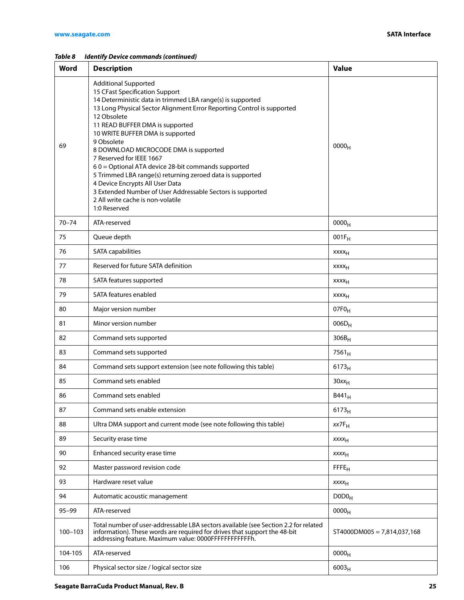*Table 8 Identify Device commands (continued)*

| <b>Word</b> | <b>Description</b>                                                                                                                                                                                                                                                                                                                                                                                                                                                                                                                                                                                                                                      | <b>Value</b>                  |
|-------------|---------------------------------------------------------------------------------------------------------------------------------------------------------------------------------------------------------------------------------------------------------------------------------------------------------------------------------------------------------------------------------------------------------------------------------------------------------------------------------------------------------------------------------------------------------------------------------------------------------------------------------------------------------|-------------------------------|
| 69          | <b>Additional Supported</b><br>15 CFast Specification Support<br>14 Deterministic data in trimmed LBA range(s) is supported<br>13 Long Physical Sector Alignment Error Reporting Control is supported<br>12 Obsolete<br>11 READ BUFFER DMA is supported<br>10 WRITE BUFFER DMA is supported<br>9 Obsolete<br>8 DOWNLOAD MICROCODE DMA is supported<br>7 Reserved for IEEE 1667<br>60 = Optional ATA device 28-bit commands supported<br>5 Trimmed LBA range(s) returning zeroed data is supported<br>4 Device Encrypts All User Data<br>3 Extended Number of User Addressable Sectors is supported<br>2 All write cache is non-volatile<br>1:0 Reserved | 0000 <sub>H</sub>             |
| $70 - 74$   | ATA-reserved                                                                                                                                                                                                                                                                                                                                                                                                                                                                                                                                                                                                                                            | 0000 <sub>H</sub>             |
| 75          | Queue depth                                                                                                                                                                                                                                                                                                                                                                                                                                                                                                                                                                                                                                             | $001F_H$                      |
| 76          | SATA capabilities                                                                                                                                                                                                                                                                                                                                                                                                                                                                                                                                                                                                                                       | <b>XXXX<sub>H</sub></b>       |
| 77          | Reserved for future SATA definition                                                                                                                                                                                                                                                                                                                                                                                                                                                                                                                                                                                                                     | xxxx <sub>H</sub>             |
| 78          | SATA features supported                                                                                                                                                                                                                                                                                                                                                                                                                                                                                                                                                                                                                                 | xxxx <sub>H</sub>             |
| 79          | SATA features enabled                                                                                                                                                                                                                                                                                                                                                                                                                                                                                                                                                                                                                                   | <b>XXXX<sub>H</sub></b>       |
| 80          | Major version number                                                                                                                                                                                                                                                                                                                                                                                                                                                                                                                                                                                                                                    | $07F0_H$                      |
| 81          | Minor version number                                                                                                                                                                                                                                                                                                                                                                                                                                                                                                                                                                                                                                    | $006D_H$                      |
| 82          | Command sets supported                                                                                                                                                                                                                                                                                                                                                                                                                                                                                                                                                                                                                                  | $306B_H$                      |
| 83          | Command sets supported                                                                                                                                                                                                                                                                                                                                                                                                                                                                                                                                                                                                                                  | $7561_H$                      |
| 84          | Command sets support extension (see note following this table)                                                                                                                                                                                                                                                                                                                                                                                                                                                                                                                                                                                          | $6173_H$                      |
| 85          | Command sets enabled                                                                                                                                                                                                                                                                                                                                                                                                                                                                                                                                                                                                                                    | $30xx_H$                      |
| 86          | Command sets enabled                                                                                                                                                                                                                                                                                                                                                                                                                                                                                                                                                                                                                                    | $B441_H$                      |
| 87          | Command sets enable extension                                                                                                                                                                                                                                                                                                                                                                                                                                                                                                                                                                                                                           | $6173_H$                      |
| 88          | Ultra DMA support and current mode (see note following this table)                                                                                                                                                                                                                                                                                                                                                                                                                                                                                                                                                                                      | $xx7F_H$                      |
| 89          | Security erase time                                                                                                                                                                                                                                                                                                                                                                                                                                                                                                                                                                                                                                     | $xxxx_{H}$                    |
| 90          | Enhanced security erase time                                                                                                                                                                                                                                                                                                                                                                                                                                                                                                                                                                                                                            | XXXH                          |
| 92          | Master password revision code                                                                                                                                                                                                                                                                                                                                                                                                                                                                                                                                                                                                                           | FFE <sub>H</sub>              |
| 93          | Hardware reset value                                                                                                                                                                                                                                                                                                                                                                                                                                                                                                                                                                                                                                    | $xxxx_{H}$                    |
| 94          | Automatic acoustic management                                                                                                                                                                                                                                                                                                                                                                                                                                                                                                                                                                                                                           | D0D0 <sub>H</sub>             |
| $95 - 99$   | ATA-reserved                                                                                                                                                                                                                                                                                                                                                                                                                                                                                                                                                                                                                                            | 0000 <sub>H</sub>             |
| $100 - 103$ | Total number of user-addressable LBA sectors available (see Section 2.2 for related<br>information). These words are required for drives that support the 48-bit<br>addressing feature. Maximum value: 0000FFFFFFFFFFFFi.                                                                                                                                                                                                                                                                                                                                                                                                                               | $ST4000DM005 = 7,814,037,168$ |
| 104-105     | ATA-reserved                                                                                                                                                                                                                                                                                                                                                                                                                                                                                                                                                                                                                                            | 0000 <sub>H</sub>             |
| 106         | Physical sector size / logical sector size                                                                                                                                                                                                                                                                                                                                                                                                                                                                                                                                                                                                              | $6003_H$                      |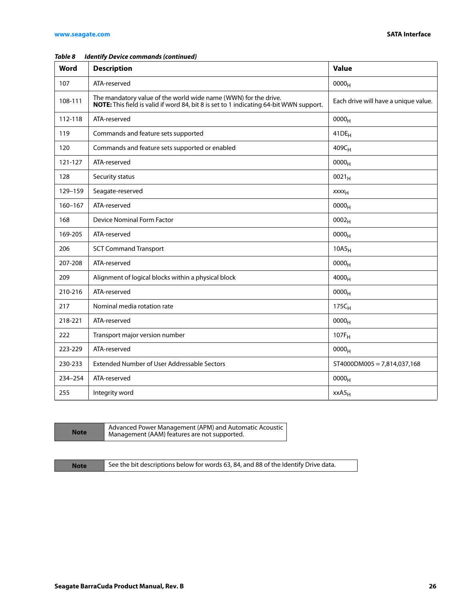| Word        | <b>Description</b>                                                                                                                                        | <b>Value</b>                         |
|-------------|-----------------------------------------------------------------------------------------------------------------------------------------------------------|--------------------------------------|
| 107         | ATA-reserved                                                                                                                                              | 0000 <sub>H</sub>                    |
| 108-111     | The mandatory value of the world wide name (WWN) for the drive.<br>NOTE: This field is valid if word 84, bit 8 is set to 1 indicating 64-bit WWN support. | Each drive will have a unique value. |
| 112-118     | ATA-reserved                                                                                                                                              | 0000 <sub>H</sub>                    |
| 119         | Commands and feature sets supported                                                                                                                       | $41DE_H$                             |
| 120         | Commands and feature sets supported or enabled                                                                                                            | $409C_H$                             |
| 121-127     | ATA-reserved                                                                                                                                              | 0000 <sub>H</sub>                    |
| 128         | Security status                                                                                                                                           | $0021_H$                             |
| 129-159     | Seagate-reserved                                                                                                                                          | XXXH                                 |
| $160 - 167$ | ATA-reserved                                                                                                                                              | $0000_H$                             |
| 168         | Device Nominal Form Factor                                                                                                                                | 0002 <sub>H</sub>                    |
| 169-205     | ATA-reserved                                                                                                                                              | 0000 <sub>H</sub>                    |
| 206         | <b>SCT Command Transport</b>                                                                                                                              | $10A5_H$                             |
| 207-208     | ATA-reserved                                                                                                                                              | 0000 <sub>H</sub>                    |
| 209         | Alignment of logical blocks within a physical block                                                                                                       | $4000_H$                             |
| 210-216     | ATA-reserved                                                                                                                                              | 0000 <sub>H</sub>                    |
| 217         | Nominal media rotation rate                                                                                                                               | $175C_H$                             |
| 218-221     | ATA-reserved                                                                                                                                              | 0000 <sub>H</sub>                    |
| 222         | Transport major version number                                                                                                                            | $107F_H$                             |
| 223-229     | ATA-reserved                                                                                                                                              | 0000 <sub>H</sub>                    |
| 230-233     | Extended Number of User Addressable Sectors                                                                                                               | $ST4000DM005 = 7,814,037,168$        |
| 234-254     | ATA-reserved                                                                                                                                              | 0000 <sub>H</sub>                    |
| 255         | Integrity word                                                                                                                                            | xxA5 <sub>H</sub>                    |

#### *Table 8 Identify Device commands (continued)*

| <b>Note</b> | Advanced Power Management (APM) and Automatic Acoustic<br>Management (AAM) features are not supported. |
|-------------|--------------------------------------------------------------------------------------------------------|
|-------------|--------------------------------------------------------------------------------------------------------|

**Note** See the bit descriptions below for words 63, 84, and 88 of the Identify Drive data.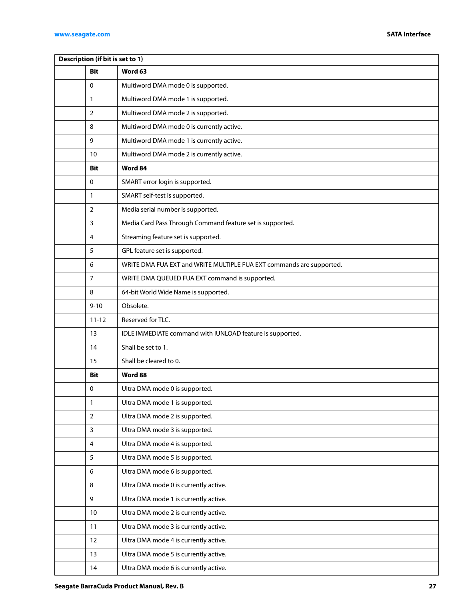| Description (if bit is set to 1) |                |                                                                      |  |  |
|----------------------------------|----------------|----------------------------------------------------------------------|--|--|
|                                  | Bit            | Word 63                                                              |  |  |
|                                  | 0              | Multiword DMA mode 0 is supported.                                   |  |  |
|                                  | $\mathbf{1}$   | Multiword DMA mode 1 is supported.                                   |  |  |
|                                  | $\overline{2}$ | Multiword DMA mode 2 is supported.                                   |  |  |
|                                  | 8              | Multiword DMA mode 0 is currently active.                            |  |  |
|                                  | 9              | Multiword DMA mode 1 is currently active.                            |  |  |
|                                  | 10             | Multiword DMA mode 2 is currently active.                            |  |  |
|                                  | Bit            | Word 84                                                              |  |  |
|                                  | 0              | SMART error login is supported.                                      |  |  |
|                                  | 1              | SMART self-test is supported.                                        |  |  |
|                                  | $\overline{2}$ | Media serial number is supported.                                    |  |  |
|                                  | 3              | Media Card Pass Through Command feature set is supported.            |  |  |
|                                  | 4              | Streaming feature set is supported.                                  |  |  |
|                                  | 5              | GPL feature set is supported.                                        |  |  |
|                                  | 6              | WRITE DMA FUA EXT and WRITE MULTIPLE FUA EXT commands are supported. |  |  |
|                                  | $\overline{7}$ | WRITE DMA QUEUED FUA EXT command is supported.                       |  |  |
|                                  | 8              | 64-bit World Wide Name is supported.                                 |  |  |
|                                  | $9 - 10$       | Obsolete.                                                            |  |  |
|                                  | $11 - 12$      | Reserved for TLC.                                                    |  |  |
|                                  | 13             | IDLE IMMEDIATE command with IUNLOAD feature is supported.            |  |  |
|                                  | 14             | Shall be set to 1.                                                   |  |  |
|                                  | 15             | Shall be cleared to 0.                                               |  |  |
|                                  | <b>Bit</b>     | Word 88                                                              |  |  |
|                                  | 0              | Ultra DMA mode 0 is supported.                                       |  |  |
|                                  | $\mathbf{1}$   | Ultra DMA mode 1 is supported.                                       |  |  |
|                                  | $\overline{2}$ | Ultra DMA mode 2 is supported.                                       |  |  |
|                                  | 3              | Ultra DMA mode 3 is supported.                                       |  |  |
|                                  | 4              | Ultra DMA mode 4 is supported.                                       |  |  |
|                                  | 5              | Ultra DMA mode 5 is supported.                                       |  |  |
|                                  | 6              | Ultra DMA mode 6 is supported.                                       |  |  |
|                                  | 8              | Ultra DMA mode 0 is currently active.                                |  |  |
|                                  | 9              | Ultra DMA mode 1 is currently active.                                |  |  |
|                                  | 10             | Ultra DMA mode 2 is currently active.                                |  |  |
|                                  | 11             | Ultra DMA mode 3 is currently active.                                |  |  |
|                                  | 12             | Ultra DMA mode 4 is currently active.                                |  |  |
|                                  | 13             | Ultra DMA mode 5 is currently active.                                |  |  |
|                                  | 14             | Ultra DMA mode 6 is currently active.                                |  |  |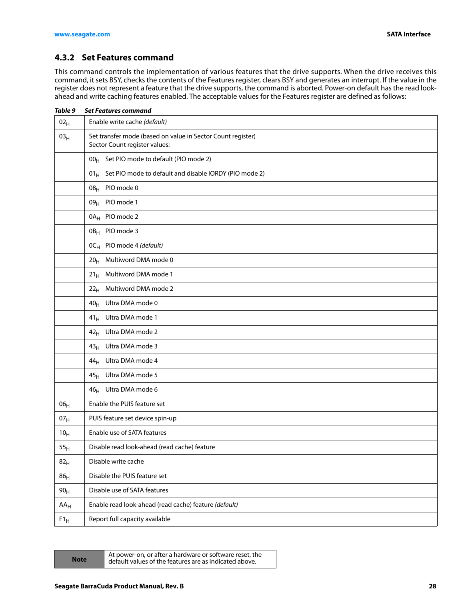## <span id="page-28-0"></span>**4.3.2 Set Features command**

This command controls the implementation of various features that the drive supports. When the drive receives this command, it sets BSY, checks the contents of the Features register, clears BSY and generates an interrupt. If the value in the register does not represent a feature that the drive supports, the command is aborted. Power-on default has the read lookahead and write caching features enabled. The acceptable values for the Features register are defined as follows:

| Table 9         | <b>Set Features command</b>                                                                  |  |  |
|-----------------|----------------------------------------------------------------------------------------------|--|--|
| 02 <sub>H</sub> | Enable write cache (default)                                                                 |  |  |
| 03 <sub>H</sub> | Set transfer mode (based on value in Sector Count register)<br>Sector Count register values: |  |  |
|                 | 00 <sub>H</sub> Set PIO mode to default (PIO mode 2)                                         |  |  |
|                 | $01_H$ Set PIO mode to default and disable IORDY (PIO mode 2)                                |  |  |
|                 | PIO mode 0<br>08 <sub>H</sub>                                                                |  |  |
|                 | 09 <sub>H</sub> PIO mode 1                                                                   |  |  |
|                 | 0A <sub>H</sub> PIO mode 2                                                                   |  |  |
|                 | 0B <sub>H</sub> PIO mode 3                                                                   |  |  |
|                 | $OC_H$ PIO mode 4 (default)                                                                  |  |  |
|                 | Multiword DMA mode 0<br>20 <sub>H</sub>                                                      |  |  |
|                 | Multiword DMA mode 1<br>21 <sub>H</sub>                                                      |  |  |
|                 | Multiword DMA mode 2<br>22 <sub>H</sub>                                                      |  |  |
|                 | 40 <sub>H</sub> Ultra DMA mode 0                                                             |  |  |
|                 | 41 <sub>H</sub> Ultra DMA mode 1                                                             |  |  |
|                 | 42 <sub>H</sub> Ultra DMA mode 2                                                             |  |  |
|                 | 43 <sub>H</sub> Ultra DMA mode 3                                                             |  |  |
|                 | 44 <sub>H</sub> Ultra DMA mode 4                                                             |  |  |
|                 | 45 <sub>H</sub> Ultra DMA mode 5                                                             |  |  |
|                 | 46 <sub>H</sub> Ultra DMA mode 6                                                             |  |  |
| 06 <sub>H</sub> | Enable the PUIS feature set                                                                  |  |  |
| 07 <sub>H</sub> | PUIS feature set device spin-up                                                              |  |  |
| 10 <sub>H</sub> | Enable use of SATA features                                                                  |  |  |
| ${\rm 55_H}$    | Disable read look-ahead (read cache) feature                                                 |  |  |
| 82 <sub>H</sub> | Disable write cache                                                                          |  |  |
| 86 <sub>H</sub> | Disable the PUIS feature set                                                                 |  |  |
| 90 <sub>H</sub> | Disable use of SATA features                                                                 |  |  |
| $AA_H$          | Enable read look-ahead (read cache) feature (default)                                        |  |  |
| $F1_H$          | Report full capacity available                                                               |  |  |

|  | √ot |  |
|--|-----|--|
|  |     |  |

At power-on, or after a hardware or software reset, the default values of the features are as indicated above.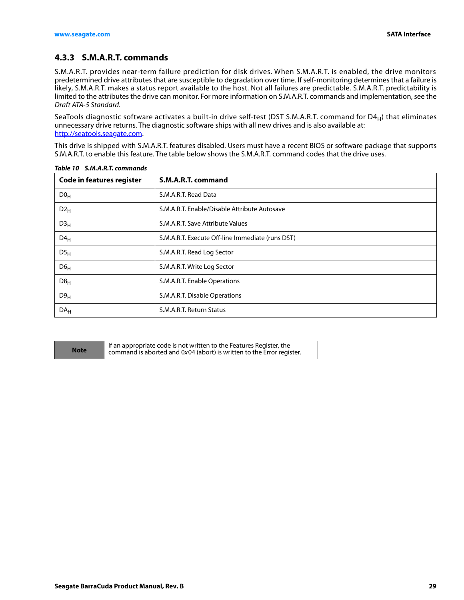## <span id="page-29-0"></span>**4.3.3 S.M.A.R.T. commands**

S.M.A.R.T. provides near-term failure prediction for disk drives. When S.M.A.R.T. is enabled, the drive monitors predetermined drive attributes that are susceptible to degradation over time. If self-monitoring determines that a failure is likely, S.M.A.R.T. makes a status report available to the host. Not all failures are predictable. S.M.A.R.T. predictability is limited to the attributes the drive can monitor. For more information on S.M.A.R.T. commands and implementation, see the Draft ATA-5 Standard.

SeaTools diagnostic software activates a built-in drive self-test (DST S.M.A.R.T. command for D4<sub>H</sub>) that eliminates unnecessary drive returns. The diagnostic software ships with all new drives and is also available at: http://seatools.seagate.com.

This drive is shipped with S.M.A.R.T. features disabled. Users must have a recent BIOS or software package that supports S.M.A.R.T. to enable this feature. The table below shows the S.M.A.R.T. command codes that the drive uses.

| <b>Code in features register</b> | S.M.A.R.T. command                               |
|----------------------------------|--------------------------------------------------|
| D0 <sub>H</sub>                  | S.M.A.R.T. Read Data                             |
| $D2_H$                           | S.M.A.R.T. Enable/Disable Attribute Autosave     |
| D3 <sub>H</sub>                  | S.M.A.R.T. Save Attribute Values                 |
| $D4_H$                           | S.M.A.R.T. Execute Off-line Immediate (runs DST) |
| DS <sub>H</sub>                  | S.M.A.R.T. Read Log Sector                       |
| D6 <sub>H</sub>                  | S.M.A.R.T. Write Log Sector                      |
| D8 <sub>H</sub>                  | S.M.A.R.T. Enable Operations                     |
| D9 <sub>H</sub>                  | S.M.A.R.T. Disable Operations                    |
| DA <sub>H</sub>                  | S.M.A.R.T. Return Status                         |

*Table 10 S.M.A.R.T. commands*

**Note** If an appropriate code is not written to the Features Register, the **Note** command is aborted and 0x04 (abort) is written to the Frror register command is aborted and 0x04 (abort) is written to the Error register.